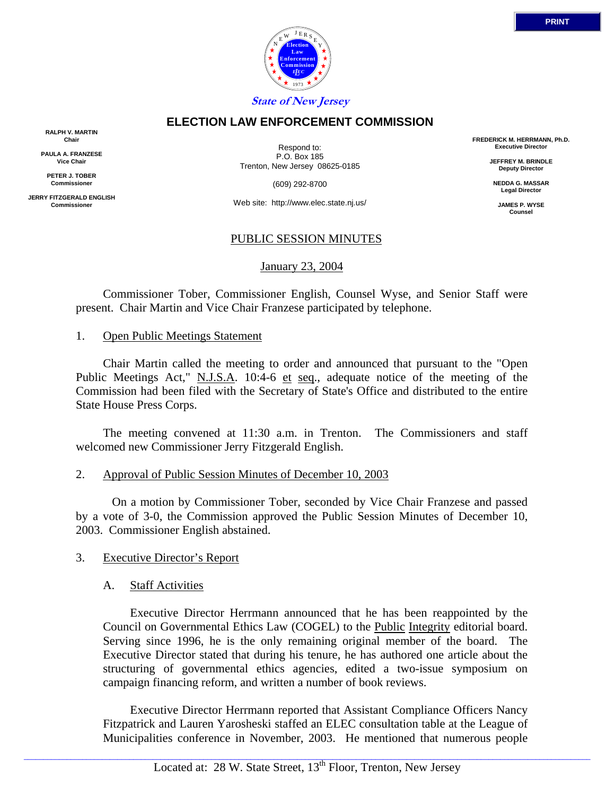

#### **ELECTION LAW ENFORCEMENT COMMISSION**

**RALPH V. MARTIN Chair**

**PAULA A. FRANZESE Vice Chair**

**PETER J. TOBER Commissioner**

**JERRY FITZGERALD ENGLISH Commissioner**

Respond to: P.O. Box 185 Trenton, New Jersey 08625-0185

(609) 292-8700

Web site: http://www.elec.state.nj.us/

## PUBLIC SESSION MINUTES

January 23, 2004

 Commissioner Tober, Commissioner English, Counsel Wyse, and Senior Staff were present. Chair Martin and Vice Chair Franzese participated by telephone.

#### 1. Open Public Meetings Statement

 Chair Martin called the meeting to order and announced that pursuant to the "Open Public Meetings Act," N.J.S.A. 10:4-6 et seq., adequate notice of the meeting of the Commission had been filed with the Secretary of State's Office and distributed to the entire State House Press Corps.

 The meeting convened at 11:30 a.m. in Trenton. The Commissioners and staff welcomed new Commissioner Jerry Fitzgerald English.

#### 2. Approval of Public Session Minutes of December 10, 2003

 On a motion by Commissioner Tober, seconded by Vice Chair Franzese and passed by a vote of 3-0, the Commission approved the Public Session Minutes of December 10, 2003. Commissioner English abstained.

## 3. Executive Director's Report

## A. Staff Activities

 Executive Director Herrmann announced that he has been reappointed by the Council on Governmental Ethics Law (COGEL) to the Public Integrity editorial board. Serving since 1996, he is the only remaining original member of the board. The Executive Director stated that during his tenure, he has authored one article about the structuring of governmental ethics agencies, edited a two-issue symposium on campaign financing reform, and written a number of book reviews.

 Executive Director Herrmann reported that Assistant Compliance Officers Nancy Fitzpatrick and Lauren Yarosheski staffed an ELEC consultation table at the League of Municipalities conference in November, 2003. He mentioned that numerous people

 $\_$  ,  $\_$  ,  $\_$  ,  $\_$  ,  $\_$  ,  $\_$  ,  $\_$  ,  $\_$  ,  $\_$  ,  $\_$  ,  $\_$  ,  $\_$  ,  $\_$  ,  $\_$  ,  $\_$  ,  $\_$  ,  $\_$  ,  $\_$  ,  $\_$  ,  $\_$  ,  $\_$  ,  $\_$  ,  $\_$  ,  $\_$  ,  $\_$  ,  $\_$  ,  $\_$  ,  $\_$  ,  $\_$  ,  $\_$  ,  $\_$  ,  $\_$  ,  $\_$  ,  $\_$  ,  $\_$  ,  $\_$  ,  $\_$  ,

**FREDERICK M. HERRMANN, Ph.D. Executive Director**

> **JEFFREY M. BRINDLE Deputy Director**

**NEDDA G. MASSAR Legal Director**

> **JAMES P. WYSE Counsel**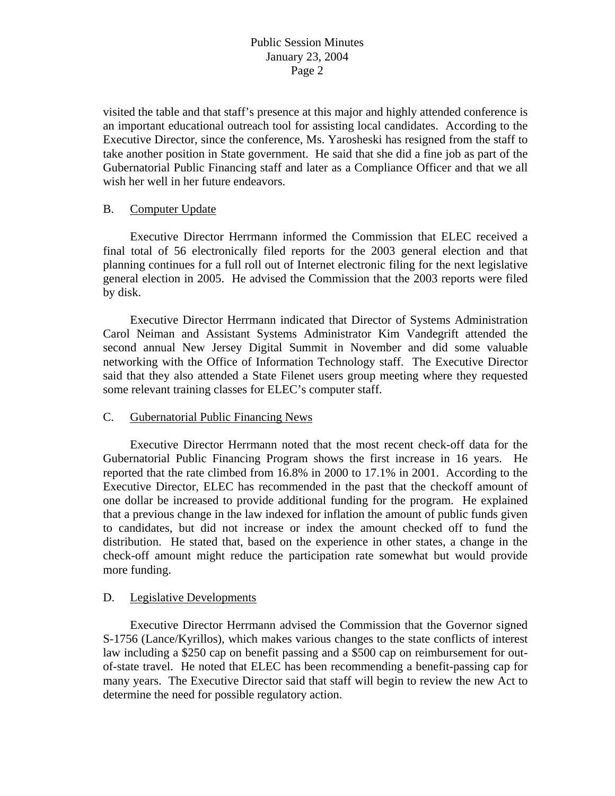visited the table and that staff's presence at this major and highly attended conference is an important educational outreach tool for assisting local candidates. According to the Executive Director, since the conference, Ms. Yarosheski has resigned from the staff to take another position in State government. He said that she did a fine job as part of the Gubernatorial Public Financing staff and later as a Compliance Officer and that we all wish her well in her future endeavors.

## B. Computer Update

 Executive Director Herrmann informed the Commission that ELEC received a final total of 56 electronically filed reports for the 2003 general election and that planning continues for a full roll out of Internet electronic filing for the next legislative general election in 2005. He advised the Commission that the 2003 reports were filed by disk.

 Executive Director Herrmann indicated that Director of Systems Administration Carol Neiman and Assistant Systems Administrator Kim Vandegrift attended the second annual New Jersey Digital Summit in November and did some valuable networking with the Office of Information Technology staff. The Executive Director said that they also attended a State Filenet users group meeting where they requested some relevant training classes for ELEC's computer staff.

#### C. Gubernatorial Public Financing News

 Executive Director Herrmann noted that the most recent check-off data for the Gubernatorial Public Financing Program shows the first increase in 16 years. He reported that the rate climbed from 16.8% in 2000 to 17.1% in 2001. According to the Executive Director, ELEC has recommended in the past that the checkoff amount of one dollar be increased to provide additional funding for the program. He explained that a previous change in the law indexed for inflation the amount of public funds given to candidates, but did not increase or index the amount checked off to fund the distribution. He stated that, based on the experience in other states, a change in the check-off amount might reduce the participation rate somewhat but would provide more funding.

#### D. Legislative Developments

 Executive Director Herrmann advised the Commission that the Governor signed S-1756 (Lance/Kyrillos), which makes various changes to the state conflicts of interest law including a \$250 cap on benefit passing and a \$500 cap on reimbursement for outof-state travel. He noted that ELEC has been recommending a benefit-passing cap for many years. The Executive Director said that staff will begin to review the new Act to determine the need for possible regulatory action.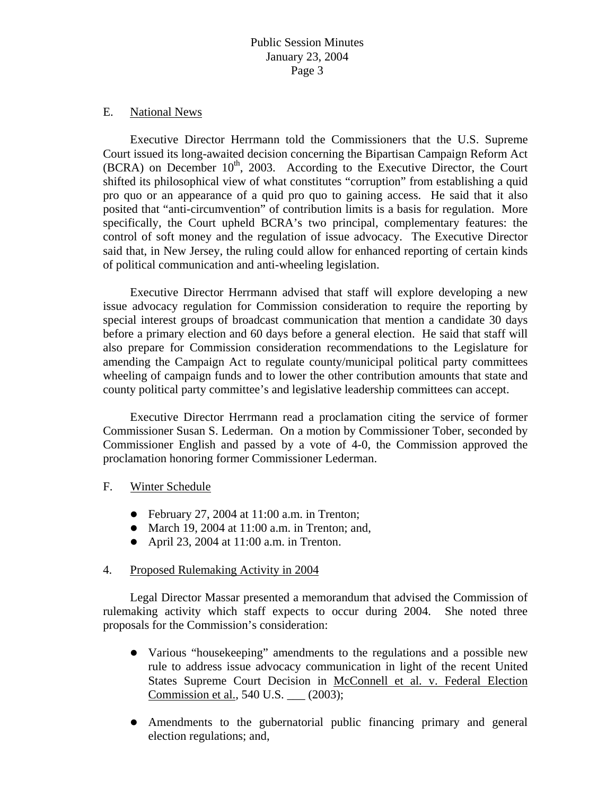### E. National News

 Executive Director Herrmann told the Commissioners that the U.S. Supreme Court issued its long-awaited decision concerning the Bipartisan Campaign Reform Act  $(BCRA)$  on December 10<sup>th</sup>, 2003. According to the Executive Director, the Court shifted its philosophical view of what constitutes "corruption" from establishing a quid pro quo or an appearance of a quid pro quo to gaining access. He said that it also posited that "anti-circumvention" of contribution limits is a basis for regulation. More specifically, the Court upheld BCRA's two principal, complementary features: the control of soft money and the regulation of issue advocacy. The Executive Director said that, in New Jersey, the ruling could allow for enhanced reporting of certain kinds of political communication and anti-wheeling legislation.

 Executive Director Herrmann advised that staff will explore developing a new issue advocacy regulation for Commission consideration to require the reporting by special interest groups of broadcast communication that mention a candidate 30 days before a primary election and 60 days before a general election. He said that staff will also prepare for Commission consideration recommendations to the Legislature for amending the Campaign Act to regulate county/municipal political party committees wheeling of campaign funds and to lower the other contribution amounts that state and county political party committee's and legislative leadership committees can accept.

 Executive Director Herrmann read a proclamation citing the service of former Commissioner Susan S. Lederman. On a motion by Commissioner Tober, seconded by Commissioner English and passed by a vote of 4-0, the Commission approved the proclamation honoring former Commissioner Lederman.

## F. Winter Schedule

- $\bullet$  February 27, 2004 at 11:00 a.m. in Trenton;
- March 19, 2004 at  $11:00$  a.m. in Trenton; and,
- April 23, 2004 at  $11:00$  a.m. in Trenton.

## 4. Proposed Rulemaking Activity in 2004

 Legal Director Massar presented a memorandum that advised the Commission of rulemaking activity which staff expects to occur during 2004. She noted three proposals for the Commission's consideration:

- Various "housekeeping" amendments to the regulations and a possible new rule to address issue advocacy communication in light of the recent United States Supreme Court Decision in McConnell et al. v. Federal Election Commission et al., 540 U.S. \_\_\_ (2003);
- Amendments to the gubernatorial public financing primary and general election regulations; and,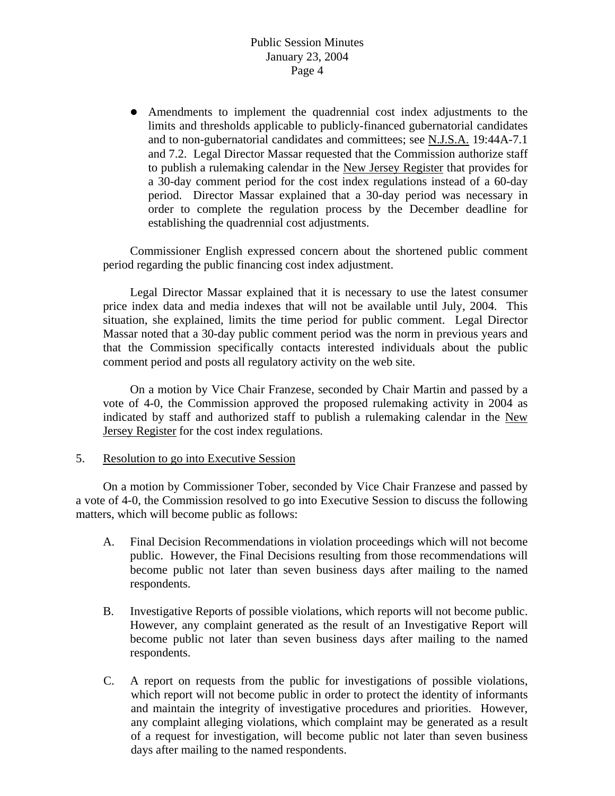• Amendments to implement the quadrennial cost index adjustments to the limits and thresholds applicable to publicly-financed gubernatorial candidates and to non-gubernatorial candidates and committees; see N.J.S.A. 19:44A-7.1 and 7.2. Legal Director Massar requested that the Commission authorize staff to publish a rulemaking calendar in the New Jersey Register that provides for a 30-day comment period for the cost index regulations instead of a 60-day period. Director Massar explained that a 30-day period was necessary in order to complete the regulation process by the December deadline for establishing the quadrennial cost adjustments.

 Commissioner English expressed concern about the shortened public comment period regarding the public financing cost index adjustment.

 Legal Director Massar explained that it is necessary to use the latest consumer price index data and media indexes that will not be available until July, 2004. This situation, she explained, limits the time period for public comment. Legal Director Massar noted that a 30-day public comment period was the norm in previous years and that the Commission specifically contacts interested individuals about the public comment period and posts all regulatory activity on the web site.

 On a motion by Vice Chair Franzese, seconded by Chair Martin and passed by a vote of 4-0, the Commission approved the proposed rulemaking activity in 2004 as indicated by staff and authorized staff to publish a rulemaking calendar in the New Jersey Register for the cost index regulations.

## 5. Resolution to go into Executive Session

 On a motion by Commissioner Tober, seconded by Vice Chair Franzese and passed by a vote of 4-0, the Commission resolved to go into Executive Session to discuss the following matters, which will become public as follows:

- A. Final Decision Recommendations in violation proceedings which will not become public. However, the Final Decisions resulting from those recommendations will become public not later than seven business days after mailing to the named respondents.
- B. Investigative Reports of possible violations, which reports will not become public. However, any complaint generated as the result of an Investigative Report will become public not later than seven business days after mailing to the named respondents.
- C. A report on requests from the public for investigations of possible violations, which report will not become public in order to protect the identity of informants and maintain the integrity of investigative procedures and priorities. However, any complaint alleging violations, which complaint may be generated as a result of a request for investigation, will become public not later than seven business days after mailing to the named respondents.